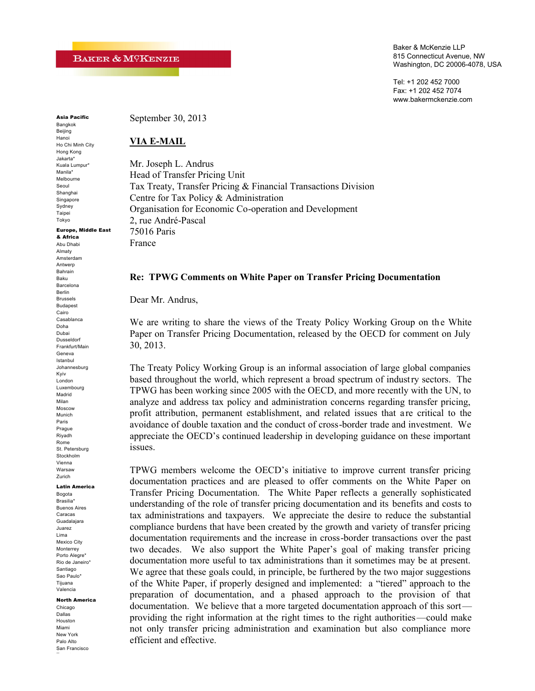Baker & McKenzie LLP 815 Connecticut Avenue, NW Washington, DC 20006-4078, USA

Tel: +1 202 452 7000 Fax: +1 202 452 7074 www.bakermckenzie.com

**Asia Pacific** Bangkok

Beijing Hanoi Ho Chi Minh City Hong Kong Jakarta\* Kuala Lumpur\* Manila\* Melbourne Seoul Shanghai Singapore Sydney Taipei Tokyo

September 30, 2013

#### **VIA E-MAIL**

Mr. Joseph L. Andrus Head of Transfer Pricing Unit Tax Treaty, Transfer Pricing & Financial Transactions Division Centre for Tax Policy & Administration Organisation for Economic Co-operation and Development 2, rue André-Pascal 75016 Paris France

#### **Re: TPWG Comments on White Paper on Transfer Pricing Documentation**

Dear Mr. Andrus,

We are writing to share the views of the Treaty Policy Working Group on the White Paper on Transfer Pricing Documentation, released by the OECD for comment on July 30, 2013.

The Treaty Policy Working Group is an informal association of large global companies based throughout the world, which represent a broad spectrum of industry sectors. The TPWG has been working since 2005 with the OECD, and more recently with the UN, to analyze and address tax policy and administration concerns regarding transfer pricing, profit attribution, permanent establishment, and related issues that a re critical to the avoidance of double taxation and the conduct of cross-border trade and investment. We appreciate the OECD's continued leadership in developing guidance on these important issues.

TPWG members welcome the OECD's initiative to improve current transfer pricing documentation practices and are pleased to offer comments on the White Paper on Transfer Pricing Documentation. The White Paper reflects a generally sophisticated understanding of the role of transfer pricing documentation and its benefits and costs to tax administrations and taxpayers. We appreciate the desire to reduce the substantial compliance burdens that have been created by the growth and variety of transfer pricing documentation requirements and the increase in cross-border transactions over the past two decades. We also support the White Paper's goal of making transfer pricing documentation more useful to tax administrations than it sometimes may be at present. We agree that these goals could, in principle, be furthered by the two major suggestions of the White Paper, if properly designed and implemented: a "tiered" approach to the preparation of documentation, and a phased approach to the provision of that documentation. We believe that a more targeted documentation approach of this sort providing the right information at the right times to the right authorities—could make not only transfer pricing administration and examination but also compliance more efficient and effective.

**Europe, Middle East & Africa** Abu Dhabi Almaty Amsterdam Antwerp Bahrain Baku Barcelona Berlin Brussels Budapest Cairo Casablanca Doha Dubai Dusseldorf Frankfurt/Main Geneva Istanbul Johannesburg Kyiv London Luxembourg Madrid Milan Moscow Munich Paris Prague Riyadh Rome St. Petersburg Stockholm Vienna Warsaw Zurich

#### **Latin America**

Bogota Brasilia\* Buenos Aires Caracas Guadalajara Juarez Lima Mexico City Monterrey Porto Alegre\* Rio de Janeiro\* Santiago Sao Paulo\* Tijuana Valencia

#### **North America**

Chicago Dallas Houston Miami New York Palo Alto San Francisco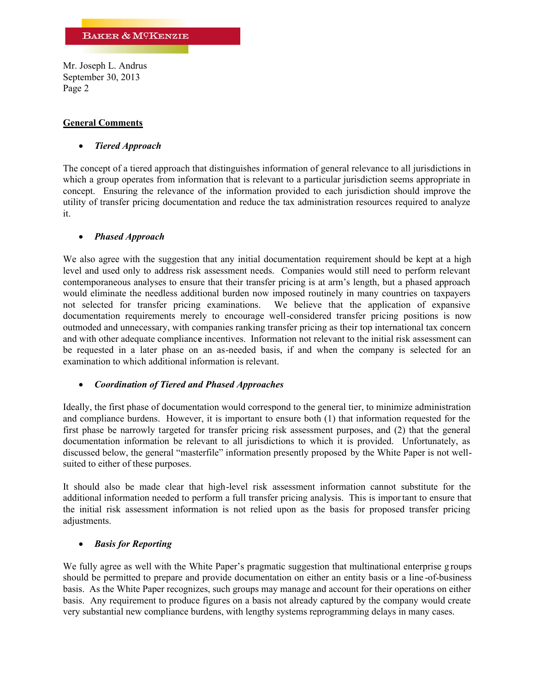### **General Comments**

#### *Tiered Approach*

The concept of a tiered approach that distinguishes information of general relevance to all jurisdictions in which a group operates from information that is relevant to a particular jurisdiction seems appropriate in concept. Ensuring the relevance of the information provided to each jurisdiction should improve the utility of transfer pricing documentation and reduce the tax administration resources required to analyze it.

#### *Phased Approach*

We also agree with the suggestion that any initial documentation requirement should be kept at a high level and used only to address risk assessment needs. Companies would still need to perform relevant contemporaneous analyses to ensure that their transfer pricing is at arm's length, but a phased approach would eliminate the needless additional burden now imposed routinely in many countries on taxpayers not selected for transfer pricing examinations. We believe that the application of expansive documentation requirements merely to encourage well-considered transfer pricing positions is now outmoded and unnecessary, with companies ranking transfer pricing as their top international tax concern and with other adequate complianc**e** incentives. Information not relevant to the initial risk assessment can be requested in a later phase on an as-needed basis, if and when the company is selected for an examination to which additional information is relevant.

### *Coordination of Tiered and Phased Approaches*

Ideally, the first phase of documentation would correspond to the general tier, to minimize administration and compliance burdens. However, it is important to ensure both (1) that information requested for the first phase be narrowly targeted for transfer pricing risk assessment purposes, and (2) that the general documentation information be relevant to all jurisdictions to which it is provided. Unfortunately, as discussed below, the general "masterfile" information presently proposed by the White Paper is not wellsuited to either of these purposes.

It should also be made clear that high-level risk assessment information cannot substitute for the additional information needed to perform a full transfer pricing analysis. This is important to ensure that the initial risk assessment information is not relied upon as the basis for proposed transfer pricing adjustments.

### *Basis for Reporting*

We fully agree as well with the White Paper's pragmatic suggestion that multinational enterprise g roups should be permitted to prepare and provide documentation on either an entity basis or a line -of-business basis. As the White Paper recognizes, such groups may manage and account for their operations on either basis. Any requirement to produce figures on a basis not already captured by the company would create very substantial new compliance burdens, with lengthy systems reprogramming delays in many cases.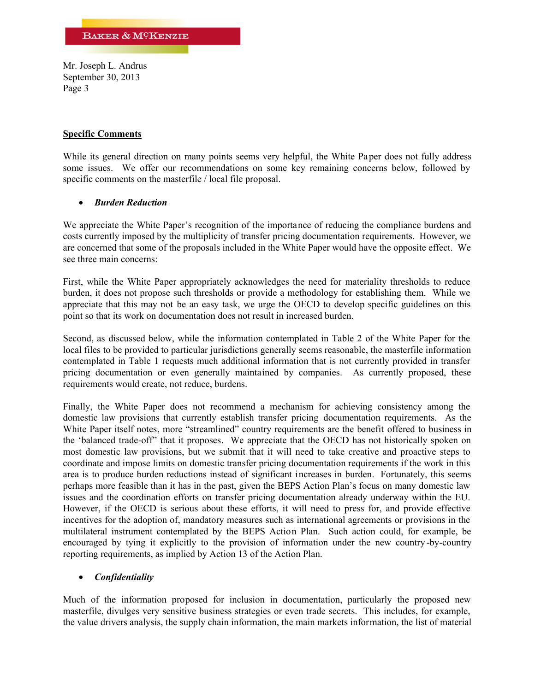# **Specific Comments**

While its general direction on many points seems very helpful, the White Pa per does not fully address some issues. We offer our recommendations on some key remaining concerns below, followed by specific comments on the masterfile / local file proposal.

# *Burden Reduction*

We appreciate the White Paper's recognition of the importance of reducing the compliance burdens and costs currently imposed by the multiplicity of transfer pricing documentation requirements. However, we are concerned that some of the proposals included in the White Paper would have the opposite effect. We see three main concerns:

First, while the White Paper appropriately acknowledges the need for materiality thresholds to reduce burden, it does not propose such thresholds or provide a methodology for establishing them. While we appreciate that this may not be an easy task, we urge the OECD to develop specific guidelines on this point so that its work on documentation does not result in increased burden.

Second, as discussed below, while the information contemplated in Table 2 of the White Paper for the local files to be provided to particular jurisdictions generally seems reasonable, the masterfile information contemplated in Table 1 requests much additional information that is not currently provided in transfer pricing documentation or even generally maintained by companies. As currently proposed, these requirements would create, not reduce, burdens.

Finally, the White Paper does not recommend a mechanism for achieving consistency among the domestic law provisions that currently establish transfer pricing documentation requirements. As the White Paper itself notes, more "streamlined" country requirements are the benefit offered to business in the 'balanced trade-off" that it proposes. We appreciate that the OECD has not historically spoken on most domestic law provisions, but we submit that it will need to take creative and proactive steps to coordinate and impose limits on domestic transfer pricing documentation requirements if the work in this area is to produce burden reductions instead of significant increases in burden. Fortunately, this seems perhaps more feasible than it has in the past, given the BEPS Action Plan's focus on many domestic law issues and the coordination efforts on transfer pricing documentation already underway within the EU. However, if the OECD is serious about these efforts, it will need to press for, and provide effective incentives for the adoption of, mandatory measures such as international agreements or provisions in the multilateral instrument contemplated by the BEPS Action Plan. Such action could, for example, be encouraged by tying it explicitly to the provision of information under the new country -by-country reporting requirements, as implied by Action 13 of the Action Plan.

# *Confidentiality*

Much of the information proposed for inclusion in documentation, particularly the proposed new masterfile, divulges very sensitive business strategies or even trade secrets. This includes, for example, the value drivers analysis, the supply chain information, the main markets information, the list of material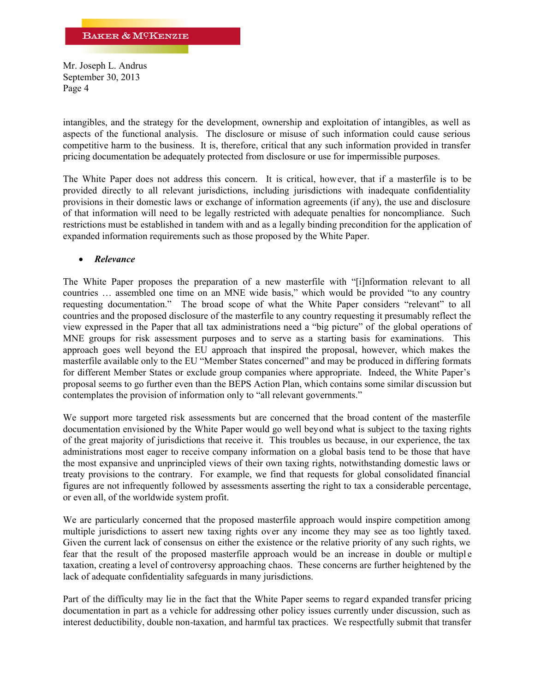intangibles, and the strategy for the development, ownership and exploitation of intangibles, as well as aspects of the functional analysis. The disclosure or misuse of such information could cause serious competitive harm to the business. It is, therefore, critical that any such information provided in transfer pricing documentation be adequately protected from disclosure or use for impermissible purposes.

The White Paper does not address this concern. It is critical, however, that if a masterfile is to be provided directly to all relevant jurisdictions, including jurisdictions with inadequate confidentiality provisions in their domestic laws or exchange of information agreements (if any), the use and disclosure of that information will need to be legally restricted with adequate penalties for noncompliance. Such restrictions must be established in tandem with and as a legally binding precondition for the application of expanded information requirements such as those proposed by the White Paper.

#### *Relevance*

The White Paper proposes the preparation of a new masterfile with "[i]nformation relevant to all countries … assembled one time on an MNE wide basis," which would be provided "to any country requesting documentation." The broad scope of what the White Paper considers "relevant" to all countries and the proposed disclosure of the masterfile to any country requesting it presumably reflect the view expressed in the Paper that all tax administrations need a "big picture" of the global operations of MNE groups for risk assessment purposes and to serve as a starting basis for examinations. This approach goes well beyond the EU approach that inspired the proposal, however, which makes the masterfile available only to the EU "Member States concerned" and may be produced in differing formats for different Member States or exclude group companies where appropriate. Indeed, the White Paper's proposal seems to go further even than the BEPS Action Plan, which contains some similar discussion but contemplates the provision of information only to "all relevant governments."

We support more targeted risk assessments but are concerned that the broad content of the masterfile documentation envisioned by the White Paper would go well beyond what is subject to the taxing rights of the great majority of jurisdictions that receive it. This troubles us because, in our experience, the tax administrations most eager to receive company information on a global basis tend to be those that have the most expansive and unprincipled views of their own taxing rights, notwithstanding domestic laws or treaty provisions to the contrary. For example, we find that requests for global consolidated financial figures are not infrequently followed by assessments asserting the right to tax a considerable percentage, or even all, of the worldwide system profit.

We are particularly concerned that the proposed masterfile approach would inspire competition among multiple jurisdictions to assert new taxing rights over any income they may see as too lightly taxed. Given the current lack of consensus on either the existence or the relative priority of any such rights, we fear that the result of the proposed masterfile approach would be an increase in double or multiple taxation, creating a level of controversy approaching chaos. These concerns are further heightened by the lack of adequate confidentiality safeguards in many jurisdictions.

Part of the difficulty may lie in the fact that the White Paper seems to regar d expanded transfer pricing documentation in part as a vehicle for addressing other policy issues currently under discussion, such as interest deductibility, double non-taxation, and harmful tax practices. We respectfully submit that transfer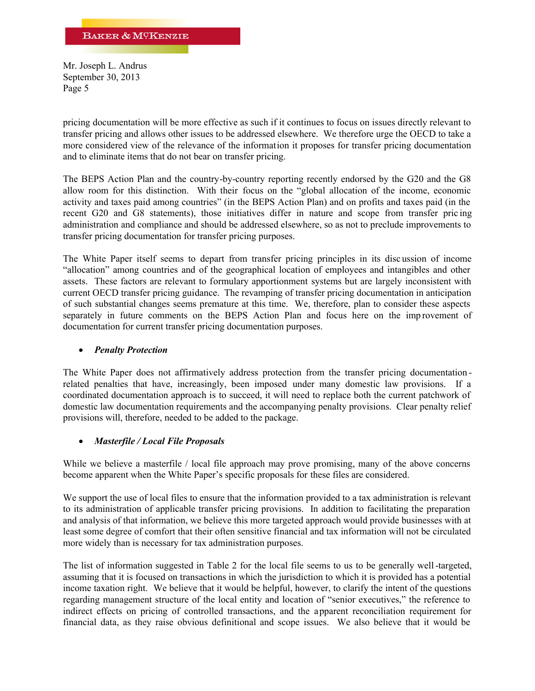pricing documentation will be more effective as such if it continues to focus on issues directly relevant to transfer pricing and allows other issues to be addressed elsewhere. We therefore urge the OECD to take a more considered view of the relevance of the information it proposes for transfer pricing documentation and to eliminate items that do not bear on transfer pricing.

The BEPS Action Plan and the country-by-country reporting recently endorsed by the G20 and the G8 allow room for this distinction. With their focus on the "global allocation of the income, economic activity and taxes paid among countries" (in the BEPS Action Plan) and on profits and taxes paid (in the recent G20 and G8 statements), those initiatives differ in nature and scope from transfer pric ing administration and compliance and should be addressed elsewhere, so as not to preclude improvements to transfer pricing documentation for transfer pricing purposes.

The White Paper itself seems to depart from transfer pricing principles in its disc ussion of income "allocation" among countries and of the geographical location of employees and intangibles and other assets. These factors are relevant to formulary apportionment systems but are largely inconsistent with current OECD transfer pricing guidance. The revamping of transfer pricing documentation in anticipation of such substantial changes seems premature at this time. We, therefore, plan to consider these aspects separately in future comments on the BEPS Action Plan and focus here on the imp rovement of documentation for current transfer pricing documentation purposes.

### *Penalty Protection*

The White Paper does not affirmatively address protection from the transfer pricing documentation related penalties that have, increasingly, been imposed under many domestic law provisions. If a coordinated documentation approach is to succeed, it will need to replace both the current patchwork of domestic law documentation requirements and the accompanying penalty provisions. Clear penalty relief provisions will, therefore, needed to be added to the package.

### *Masterfile / Local File Proposals*

While we believe a masterfile / local file approach may prove promising, many of the above concerns become apparent when the White Paper's specific proposals for these files are considered.

We support the use of local files to ensure that the information provided to a tax administration is relevant to its administration of applicable transfer pricing provisions. In addition to facilitating the preparation and analysis of that information, we believe this more targeted approach would provide businesses with at least some degree of comfort that their often sensitive financial and tax information will not be circulated more widely than is necessary for tax administration purposes.

The list of information suggested in Table 2 for the local file seems to us to be generally well-targeted, assuming that it is focused on transactions in which the jurisdiction to which it is provided has a potential income taxation right. We believe that it would be helpful, however, to clarify the intent of the questions regarding management structure of the local entity and location of "senior executives," the reference to indirect effects on pricing of controlled transactions, and the apparent reconciliation requirement for financial data, as they raise obvious definitional and scope issues. We also believe that it would be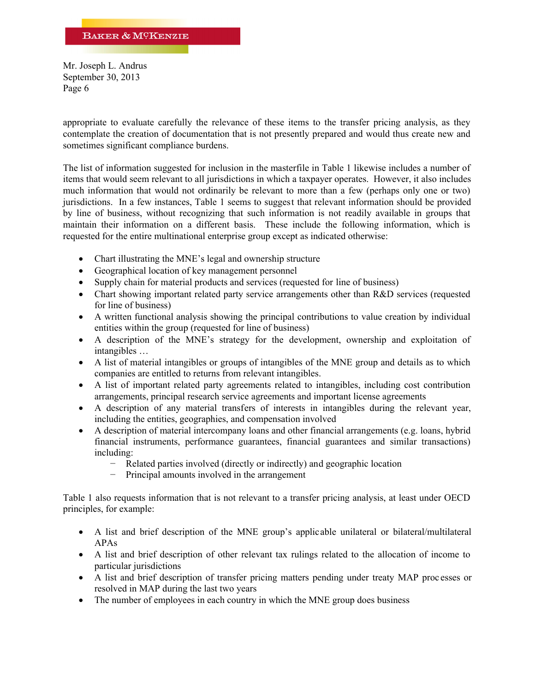appropriate to evaluate carefully the relevance of these items to the transfer pricing analysis, as they contemplate the creation of documentation that is not presently prepared and would thus create new and sometimes significant compliance burdens.

The list of information suggested for inclusion in the masterfile in Table 1 likewise includes a number of items that would seem relevant to all jurisdictions in which a taxpayer operates. However, it also includes much information that would not ordinarily be relevant to more than a few (perhaps only one or two) jurisdictions. In a few instances, Table 1 seems to suggest that relevant information should be provided by line of business, without recognizing that such information is not readily available in groups that maintain their information on a different basis. These include the following information, which is requested for the entire multinational enterprise group except as indicated otherwise:

- Chart illustrating the MNE's legal and ownership structure
- Geographical location of key management personnel
- Supply chain for material products and services (requested for line of business)
- Chart showing important related party service arrangements other than R&D services (requested for line of business)
- A written functional analysis showing the principal contributions to value creation by individual entities within the group (requested for line of business)
- A description of the MNE's strategy for the development, ownership and exploitation of intangibles …
- A list of material intangibles or groups of intangibles of the MNE group and details as to which companies are entitled to returns from relevant intangibles.
- A list of important related party agreements related to intangibles, including cost contribution arrangements, principal research service agreements and important license agreements
- A description of any material transfers of interests in intangibles during the relevant year, including the entities, geographies, and compensation involved
- A description of material intercompany loans and other financial arrangements (e.g. loans, hybrid financial instruments, performance guarantees, financial guarantees and similar transactions) including:
	- − Related parties involved (directly or indirectly) and geographic location
	- Principal amounts involved in the arrangement

Table 1 also requests information that is not relevant to a transfer pricing analysis, at least under OECD principles, for example:

- A list and brief description of the MNE group's applicable unilateral or bilateral/multilateral APAs
- A list and brief description of other relevant tax rulings related to the allocation of income to particular jurisdictions
- A list and brief description of transfer pricing matters pending under treaty MAP proc esses or resolved in MAP during the last two years
- The number of employees in each country in which the MNE group does business